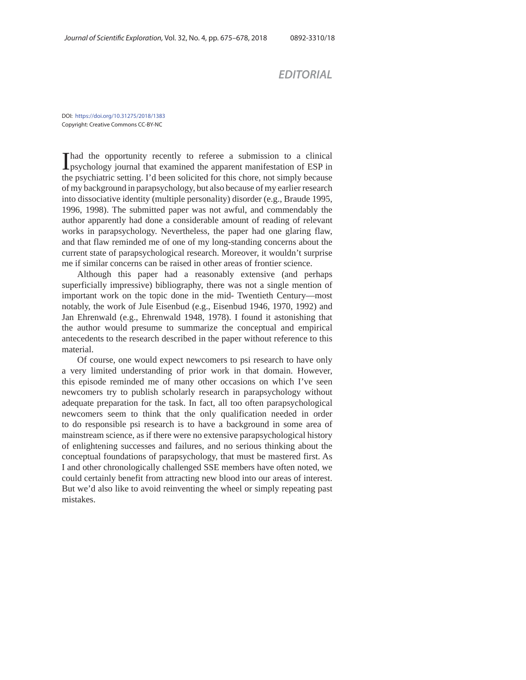*EDITORIAL*

DOI: https://doi.org/10.31275/2018/1383 Copyright: Creative Commons CC-BY-NC

I had the opportunity recently to referee a submission to a clinical psychology journal that examined the apparent manifestation of ESP in the psychiatric setting. I'd been solicited for this chore, not simply because of my background in parapsychology, but also because of my earlier research into dissociative identity (multiple personality) disorder (e.g., Braude 1995, 1996, 1998). The submitted paper was not awful, and commendably the author apparently had done a considerable amount of reading of relevant works in parapsychology. Nevertheless, the paper had one glaring flaw, and that flaw reminded me of one of my long-standing concerns about the current state of parapsychological research. Moreover, it wouldn't surprise me if similar concerns can be raised in other areas of frontier science.

Although this paper had a reasonably extensive (and perhaps superficially impressive) bibliography, there was not a single mention of important work on the topic done in the mid- Twentieth Century—most notably, the work of Jule Eisenbud (e.g., Eisenbud 1946, 1970, 1992) and Jan Ehrenwald (e.g., Ehrenwald 1948, 1978). I found it astonishing that the author would presume to summarize the conceptual and empirical antecedents to the research described in the paper without reference to this material.

Of course, one would expect newcomers to psi research to have only a very limited understanding of prior work in that domain. However, this episode reminded me of many other occasions on which I've seen newcomers try to publish scholarly research in parapsychology without adequate preparation for the task. In fact, all too often parapsychological newcomers seem to think that the only qualification needed in order to do responsible psi research is to have a background in some area of mainstream science, as if there were no extensive parapsychological history of enlightening successes and failures, and no serious thinking about the conceptual foundations of parapsychology, that must be mastered first. As I and other chronologically challenged SSE members have often noted, we could certainly benefit from attracting new blood into our areas of interest. But we'd also like to avoid reinventing the wheel or simply repeating past mistakes.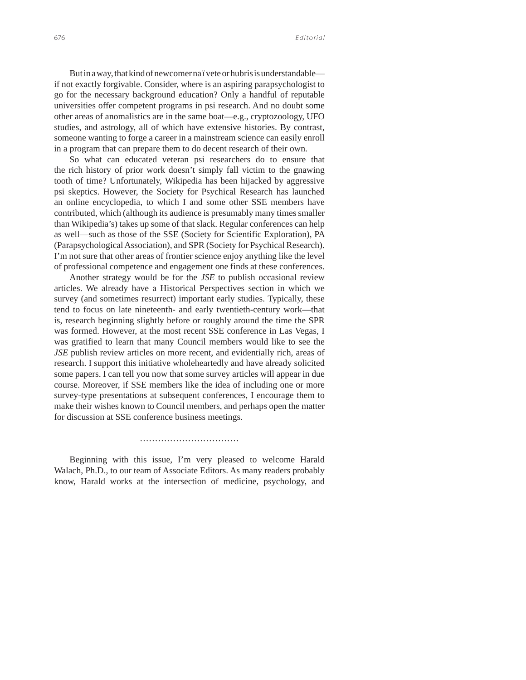But in a way, that kind of newcomer na ï vete or hubris is understandable if not exactly forgivable. Consider, where is an aspiring parapsychologist to go for the necessary background education? Only a handful of reputable universities offer competent programs in psi research. And no doubt some other areas of anomalistics are in the same boat—e.g., cryptozoology, UFO studies, and astrology, all of which have extensive histories. By contrast, someone wanting to forge a career in a mainstream science can easily enroll in a program that can prepare them to do decent research of their own.

So what can educated veteran psi researchers do to ensure that the rich history of prior work doesn't simply fall victim to the gnawing tooth of time? Unfortunately, Wikipedia has been hijacked by aggressive psi skeptics. However, the Society for Psychical Research has launched an online encyclopedia, to which I and some other SSE members have contributed, which (although its audience is presumably many times smaller than Wikipedia's) takes up some of that slack. Regular conferences can help as well—such as those of the SSE (Society for Scientific Exploration), PA (Parapsychological Association), and SPR (Society for Psychical Research). I'm not sure that other areas of frontier science enjoy anything like the level of professional competence and engagement one finds at these conferences.

Another strategy would be for the *JSE* to publish occasional review articles. We already have a Historical Perspectives section in which we survey (and sometimes resurrect) important early studies. Typically, these tend to focus on late nineteenth- and early twentieth-century work—that is, research beginning slightly before or roughly around the time the SPR was formed. However, at the most recent SSE conference in Las Vegas, I was gratified to learn that many Council members would like to see the *JSE* publish review articles on more recent, and evidentially rich, areas of research. I support this initiative wholeheartedly and have already solicited some papers. I can tell you now that some survey articles will appear in due course. Moreover, if SSE members like the idea of including one or more survey-type presentations at subsequent conferences, I encourage them to make their wishes known to Council members, and perhaps open the matter for discussion at SSE conference business meetings.

…………………………………………

Beginning with this issue, I'm very pleased to welcome Harald Walach, Ph.D., to our team of Associate Editors. As many readers probably know, Harald works at the intersection of medicine, psychology, and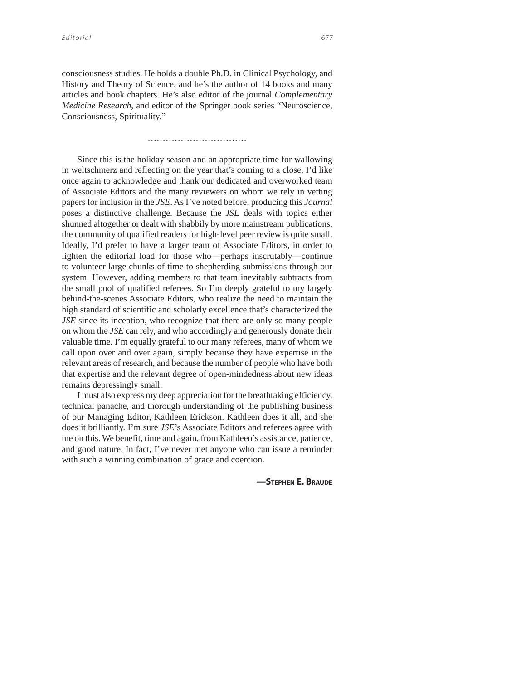consciousness studies. He holds a double Ph.D. in Clinical Psychology, and History and Theory of Science, and he's the author of 14 books and many articles and book chapters. He's also editor of the journal *Complementary Medicine Research*, and editor of the Springer book series "Neuroscience, Consciousness, Spirituality."

…………………………………………

Since this is the holiday season and an appropriate time for wallowing in weltschmerz and reflecting on the year that's coming to a close, I'd like once again to acknowledge and thank our dedicated and overworked team of Associate Editors and the many reviewers on whom we rely in vetting papers for inclusion in the *JSE*. As I've noted before, producing this *Journal*  poses a distinctive challenge. Because the *JSE* deals with topics either shunned altogether or dealt with shabbily by more mainstream publications, the community of qualified readers for high-level peer review is quite small. Ideally, I'd prefer to have a larger team of Associate Editors, in order to lighten the editorial load for those who—perhaps inscrutably—continue to volunteer large chunks of time to shepherding submissions through our system. However, adding members to that team inevitably subtracts from the small pool of qualified referees. So I'm deeply grateful to my largely behind-the-scenes Associate Editors, who realize the need to maintain the high standard of scientific and scholarly excellence that's characterized the *JSE* since its inception, who recognize that there are only so many people on whom the *JSE* can rely, and who accordingly and generously donate their valuable time. I'm equally grateful to our many referees, many of whom we call upon over and over again, simply because they have expertise in the relevant areas of research, and because the number of people who have both that expertise and the relevant degree of open-mindedness about new ideas remains depressingly small.

I must also express my deep appreciation for the breathtaking efficiency, technical panache, and thorough understanding of the publishing business of our Managing Editor, Kathleen Erickson. Kathleen does it all, and she does it brilliantly. I'm sure *JSE*'s Associate Editors and referees agree with me on this. We benefit, time and again, from Kathleen's assistance, patience, and good nature. In fact, I've never met anyone who can issue a reminder with such a winning combination of grace and coercion.

**—STEPHEN E. BRAUDE**